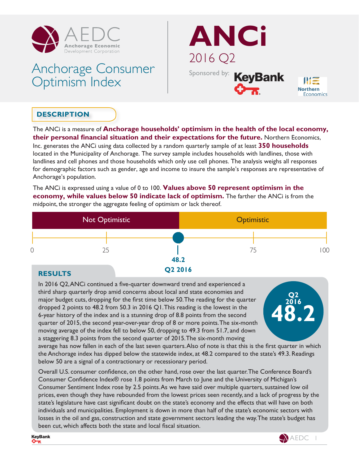

# Anchorage Consumer Optimism Index



## **DESCRIPTION**

The ANCi is a measure of **Anchorage households' optimism in the health of the local economy, their personal financial situation and their expectations for the future.** Northern Economics, Inc. generates the ANCi using data collected by a random quarterly sample of at least **350 households** located in the Municipality of Anchorage. The survey sample includes households with landlines, those with landlines and cell phones and those households which only use cell phones. The analysis weighs all responses for demographic factors such as gender, age and income to insure the sample's responses are representative of

Anchorage's population.

The ANCi is expressed using a value of 0 to 100. **Values above 50 represent optimism in the economy, while values below 50 indicate lack of optimism.** The farther the ANCi is from the midpoint, the stronger the aggregate feeling of optimism or lack thereof.



#### **RESULTS**

In 2016 Q2, ANCi continued a five-quarter downward trend and experienced a third sharp quarterly drop amid concerns about local and state economies and major budget cuts, dropping for the first time below 50. The reading for the quarter dropped 2 points to 48.2 from 50.3 in 2016 Q1. This reading is the lowest in the 6-year history of the index and is a stunning drop of 8.8 points from the second quarter of 2015, the second year-over-year drop of 8 or more points. The six-month moving average of the index fell to below 50, dropping to 49.3 from 51.7, and down a staggering 8.3 points from the second quarter of 2015. The six-month moving



average has now fallen in each of the last seven quarters. Also of note is that this is the first quarter in which the Anchorage index has dipped below the statewide index, at 48.2 compared to the state's 49.3. Readings below 50 are a signal of a contractionary or recessionary period.

Overall U.S. consumer confidence, on the other hand, rose over the last quarter. The Conference Board's Consumer Confidence Index® rose 1.8 points from March to June and the University of Michigan's Consumer Sentiment Index rose by 2.5 points. As we have said over multiple quarters, sustained low oil prices, even though they have rebounded from the lowest prices seen recently, and a lack of progress by the state's legislature have cast significant doubt on the state's economy and the effects that will have on both individuals and municipalities. Employment is down in more than half of the state's economic sectors with losses in the oil and gas, construction and state government sectors leading the way. The state's budget has been cut, which affects both the state and local fiscal situation.

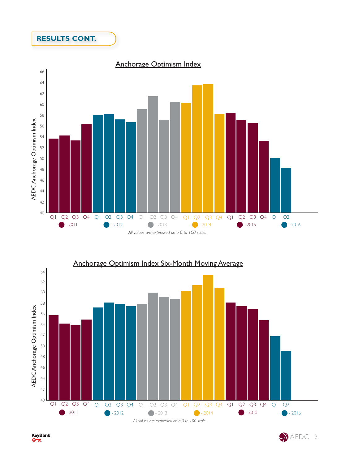### **RESULTS CONT.**





KeyBank ᡐ᠊ᡑ

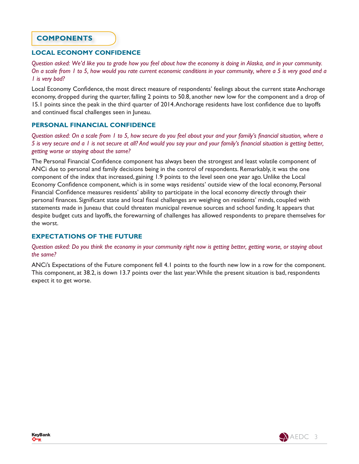#### **COMPONENTS**

#### **LOCAL ECONOMY CONFIDENCE**

*Question asked: We'd like you to grade how you feel about how the economy is doing in Alaska, and in your community. On a scale from 1 to 5, how would you rate current economic conditions in your community, where a 5 is very good and a 1 is very bad?*

Local Economy Confidence, the most direct measure of respondents' feelings about the current state Anchorage economy, dropped during the quarter, falling 2 points to 50.8, another new low for the component and a drop of 15.1 points since the peak in the third quarter of 2014. Anchorage residents have lost confidence due to layoffs and continued fiscal challenges seen in Juneau.

#### **PERSONAL FINANCIAL CONFIDENCE**

*Question asked: On a scale from 1 to 5, how secure do you feel about your and your family's financial situation, where a 5 is very secure and a 1 is not secure at all? And would you say your and your family's financial situation is getting better, getting worse or staying about the same?*

The Personal Financial Confidence component has always been the strongest and least volatile component of ANCi due to personal and family decisions being in the control of respondents. Remarkably, it was the one component of the index that increased, gaining 1.9 points to the level seen one year ago. Unlike the Local Economy Confidence component, which is in some ways residents' outside view of the local economy, Personal Financial Confidence measures residents' ability to participate in the local economy directly through their personal finances. Significant state and local fiscal challenges are weighing on residents' minds, coupled with statements made in Juneau that could threaten municipal revenue sources and school funding. It appears that despite budget cuts and layoffs, the forewarning of challenges has allowed respondents to prepare themselves for the worst.

#### **EXPECTATIONS OF THE FUTURE**

*Question asked: Do you think the economy in your community right now is getting better, getting worse, or staying about the same?*

ANCi's Expectations of the Future component fell 4.1 points to the fourth new low in a row for the component. This component, at 38.2, is down 13.7 points over the last year. While the present situation is bad, respondents expect it to get worse.